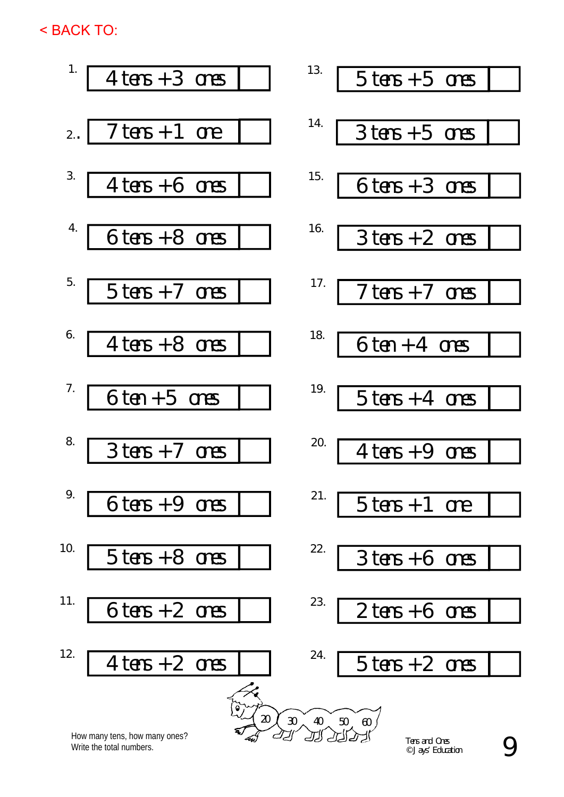< BACK TO:

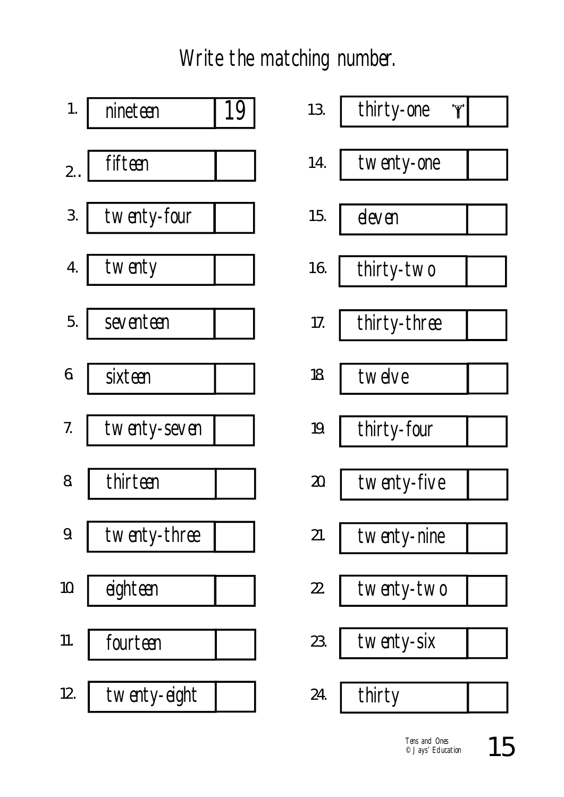Write the matching number.



| 19 | 'Y'<br>13.<br>thirty-one |
|----|--------------------------|
|    | 14.<br>twenty-one        |
|    | 15.<br>eleven            |
|    | 16.<br>thirty-two        |
|    | thirty-three<br>17.      |
|    | 18.<br>twelve            |
|    | 19.<br>thirty-four       |
|    | twenty-five<br>20.       |
|    | 21.<br>twenty-nine       |
|    | twenty-two<br>22.        |
|    | twenty-six<br>23.        |
|    | 24.<br>thirty            |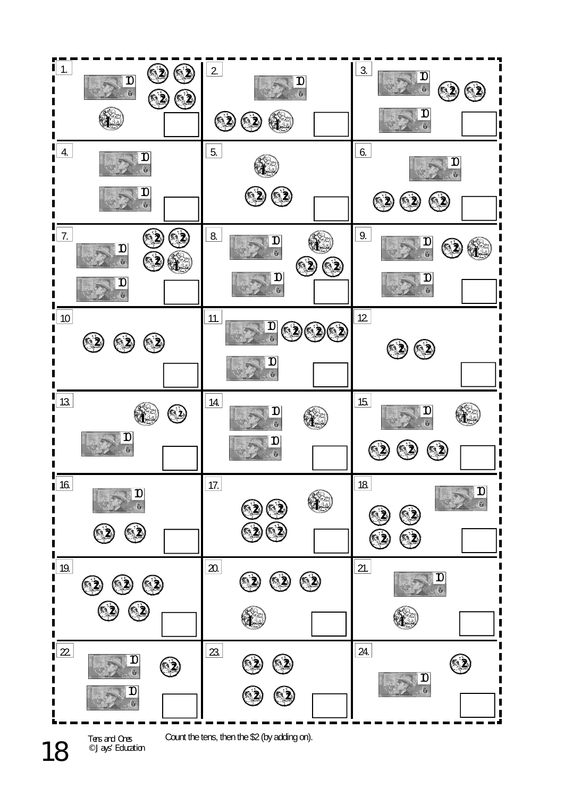

Tens and Ones © Jays' Education

18

Count the tens, then the \$2 (by adding on).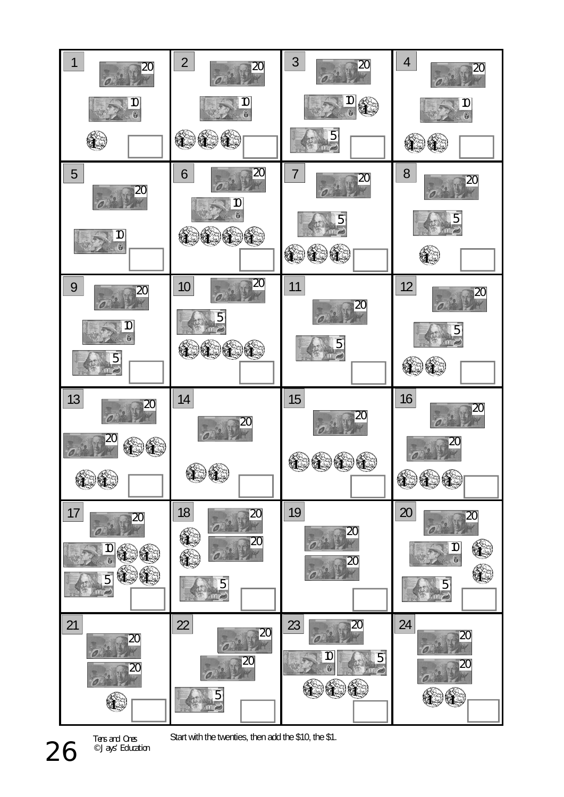

Tens and Ones © Jays' Education

Start with the twenties, then add the \$10, the \$1.

26